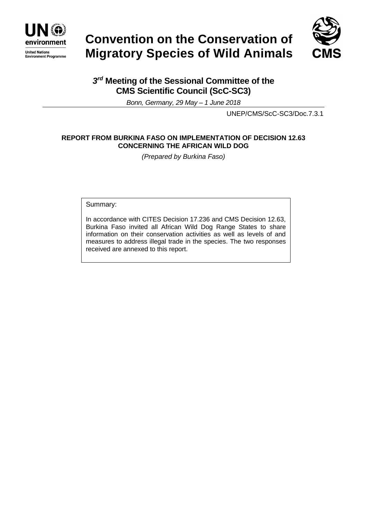

# **Convention on the Conservation of Migratory Species of Wild Animals**



# *3 rd* **Meeting of the Sessional Committee of the CMS Scientific Council (ScC-SC3)**

*Bonn, Germany, 29 May – 1 June 2018*

UNEP/CMS/ScC-SC3/Doc.7.3.1

### **REPORT FROM BURKINA FASO ON IMPLEMENTATION OF DECISION 12.63 CONCERNING THE AFRICAN WILD DOG**

*(Prepared by Burkina Faso)*

Summary:

In accordance with CITES Decision 17.236 and CMS Decision 12.63, Burkina Faso invited all African Wild Dog Range States to share information on their conservation activities as well as levels of and measures to address illegal trade in the species. The two responses received are annexed to this report.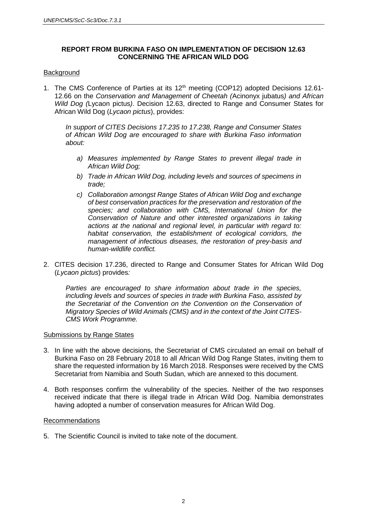#### **REPORT FROM BURKINA FASO ON IMPLEMENTATION OF DECISION 12.63 CONCERNING THE AFRICAN WILD DOG**

#### **Background**

1. The CMS Conference of Parties at its 12<sup>th</sup> meeting (COP12) adopted Decisions 12.61-12.66 on the *Conservation and Management of Cheetah (*Acinonyx jubatus*) and African Wild Dog (*Lycaon pictus*)*. Decision 12.63, directed to Range and Consumer States for African Wild Dog (*Lycaon pictus*), provides:

*In support of CITES Decisions 17.235 to 17.238, Range and Consumer States of African Wild Dog are encouraged to share with Burkina Faso information about:*

- *a) Measures implemented by Range States to prevent illegal trade in African Wild Dog;*
- *b) Trade in African Wild Dog, including levels and sources of specimens in trade;*
- *c) Collaboration amongst Range States of African Wild Dog and exchange of best conservation practices for the preservation and restoration of the species; and collaboration with CMS, International Union for the Conservation of Nature and other interested organizations in taking actions at the national and regional level, in particular with regard to: habitat conservation, the establishment of ecological corridors, the management of infectious diseases, the restoration of prey-basis and human-wildlife conflict.*
- 2. CITES decision 17.236, directed to Range and Consumer States for African Wild Dog (*Lycaon pictus*) provides*:*

*Parties are encouraged to share information about trade in the species, including levels and sources of species in trade with Burkina Faso, assisted by the Secretariat of the Convention on the Convention on the Conservation of Migratory Species of Wild Animals (CMS) and in the context of the Joint CITES-CMS Work Programme.*

#### Submissions by Range States

- 3. In line with the above decisions, the Secretariat of CMS circulated an email on behalf of Burkina Faso on 28 February 2018 to all African Wild Dog Range States, inviting them to share the requested information by 16 March 2018. Responses were received by the CMS Secretariat from Namibia and South Sudan, which are annexed to this document.
- 4. Both responses confirm the vulnerability of the species. Neither of the two responses received indicate that there is illegal trade in African Wild Dog. Namibia demonstrates having adopted a number of conservation measures for African Wild Dog.

#### Recommendations

5. The Scientific Council is invited to take note of the document.